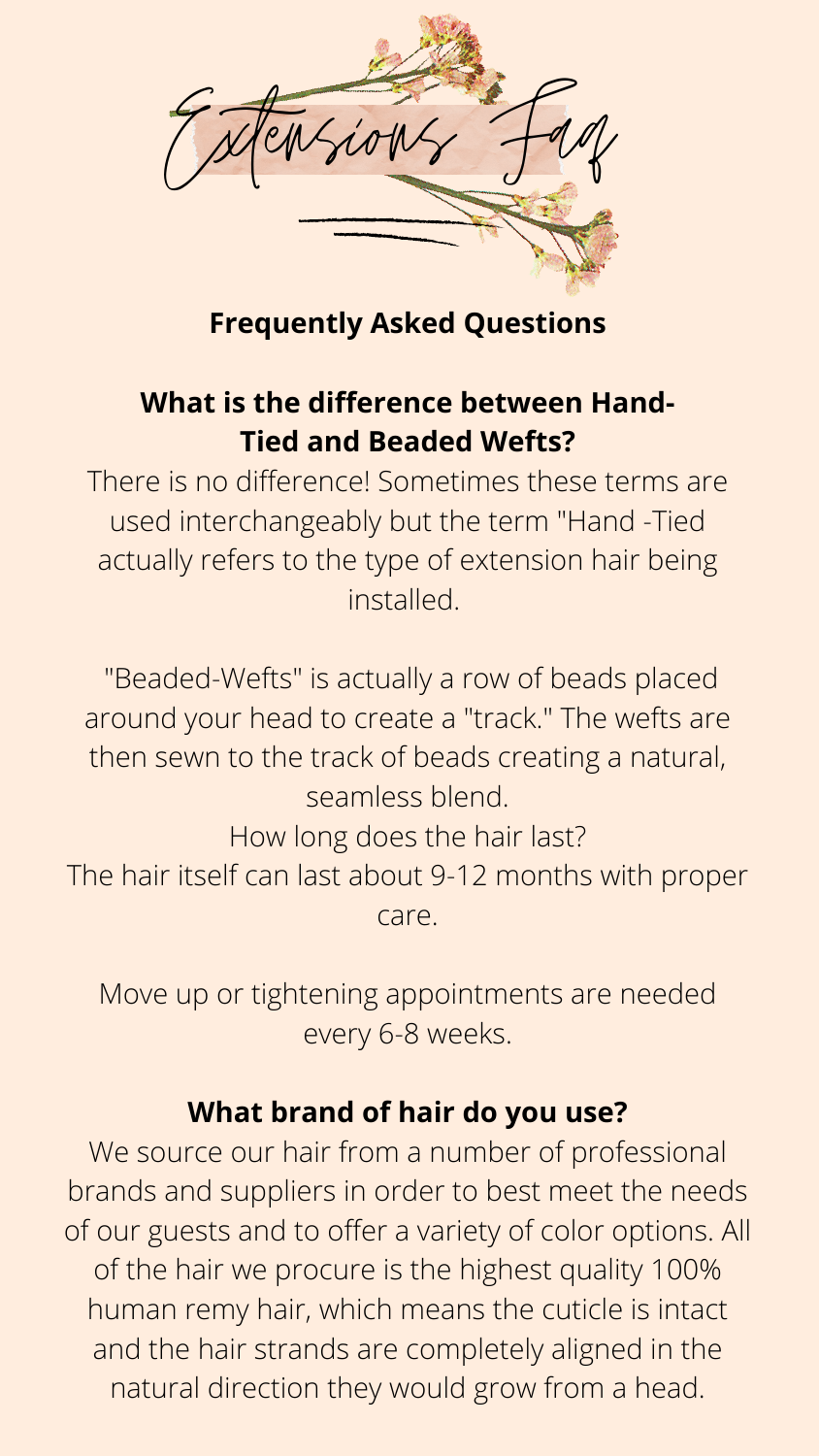

#### **Frequently Asked Questions**

# **What is the difference between Hand-Tied and Beaded Wefts?**

There is no difference! Sometimes these terms are used interchangeably but the term "Hand -Tied actually refers to the type of extension hair being installed.

"Beaded-Wefts" is actually a row of beads placed around your head to create a "track." The wefts are then sewn to the track of beads creating a natural, seamless blend.

How long does the hair last? The hair itself can last about 9-12 months with proper

We source our hair from a number of professional brands and suppliers in order to best meet the needs of our guests and to offer a variety of color options. All of the hair we procure is the highest quality 100% human remy hair, which means the cuticle is intact and the hair strands are completely aligned in the natural direction they would grow from a head.

### Move up or tightening appointments are needed every 6-8 weeks.

#### **What brand of hair do you use?**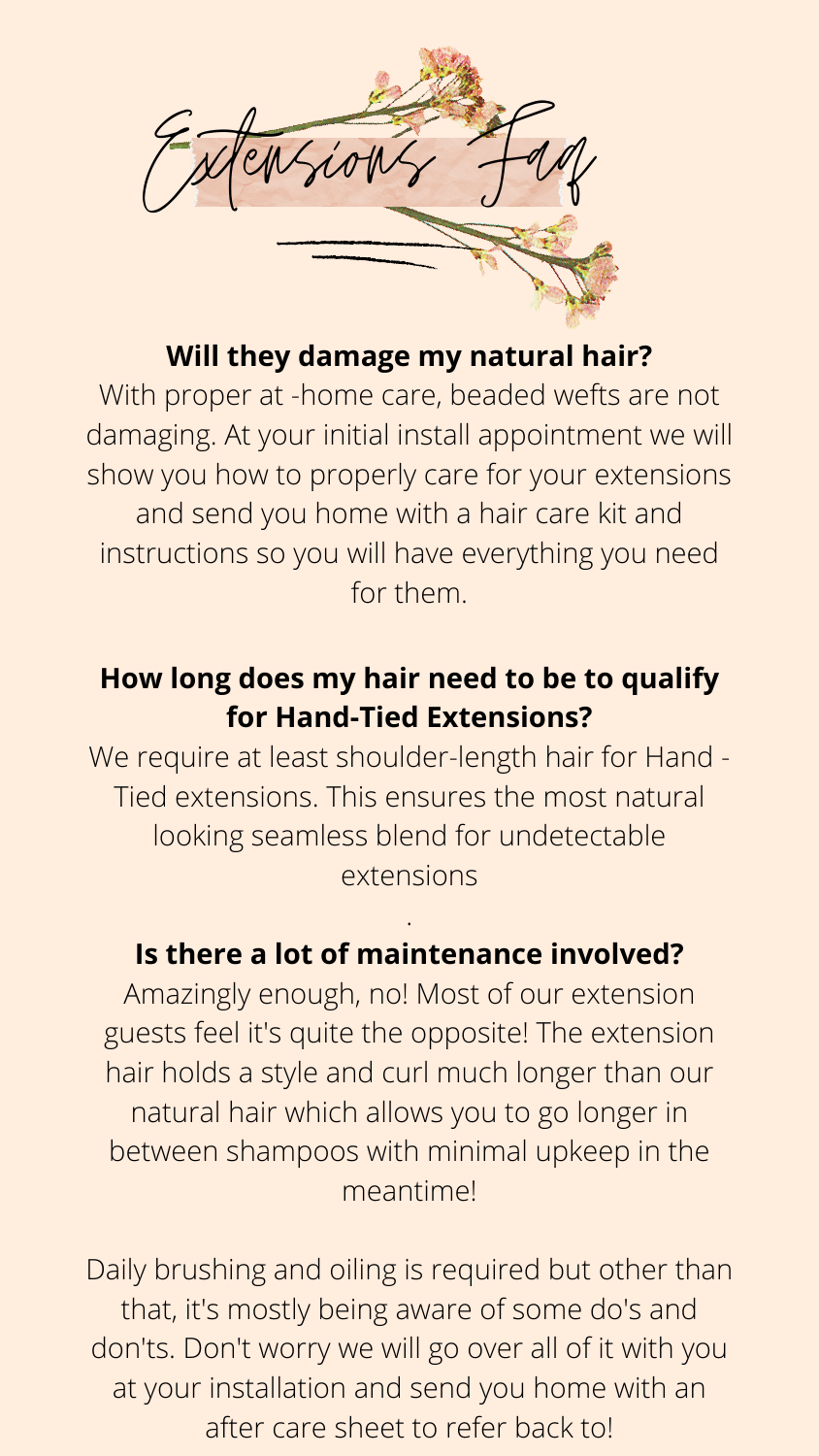

### **Will they damage my natural hair?**

With proper at -home care, beaded wefts are not damaging. At your initial install appointment we will show you how to properly care for your extensions and send you home with a hair care kit and instructions so you will have everything you need for them.

## **How long does my hair need to be to qualify for Hand-Tied Extensions?**

Daily brushing and oiling is required but other than that, it's mostly being aware of some do's and don'ts. Don't worry we will go over all of it with you at your installation and send you home with an after care sheet to refer back to!

We require at least shoulder-length hair for Hand - Tied extensions. This ensures the most natural looking seamless blend for undetectable extensions

.

### **Is there a lot of maintenance involved?**

Amazingly enough, no! Most of our extension guests feel it's quite the opposite! The extension hair holds a style and curl much longer than our natural hair which allows you to go longer in between shampoos with minimal upkeep in the meantime!